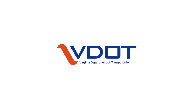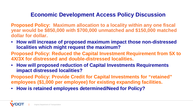## **Economic Development Access Policy Discussion**

**Proposed Policy: Maximum allocation to a locality within any one fiscal year would be \$850,000 with \$700,000 unmatched and \$150,000 matched dollar for dollar.**

• **How will increase of proposed maximum impact those non-distressed localities which might request the maximum?**

**Proposed Policy: Reduced the Capital Investment Requirement from 5X to 4X/3X for distressed and double-distressed localities.**

• **How will proposed reduction of Capital Investments Requirements impact distressed localities?**

**Proposed Policy: Provide Credit for Capital Investments for "retained" employees (\$1,000 per employee) for existing expanding facilities.**

• **How is retained employees determined/Need for Policy?**

**•**<br>•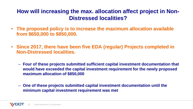## **How will increasing the max. allocation affect project in Non-Distressed localities?**

- **The proposed policy is to increase the maximum allocation available from \$650,000 to \$850,000.**
- **Since 2017, there have been five EDA (regular) Projects completed in Non-Distressed localities.** 
	- **Four of these projects submitted sufficient capital investment documentation that would have exceeded the capital investment requirement for the newly proposed maximum allocation of \$850,000**
	- **One of these projects submitted capital investment documentation until the minimum capital investment requirement was met**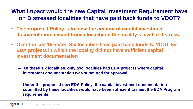## **What impact would the new Capital Investment Requirement have on Distressed localities that have paid back funds to VDOT?**

- **The proposed Policy is to base the amount of capital investment documentation needed from a locality on the locality's level of distress**
- **Over the last 15 years, Six localities have paid back funds to VDOT for EDA projects in which the locality did not have sufficient capital investment documentation**
	- **Of these six localities, only two localities had EDA projects where capital investment documentation was submitted for approval**
	- **Under the proposed new EDA Policy, the capital investment documentation submitted by these localities would have been sufficient to meet the EDA Program requirements**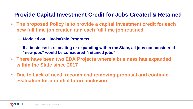## **Provide Capital Investment Credit for Jobs Created & Retained**

- **The proposed Policy is to provide a capital investment credit for each new full time job created and each full time job retained**
	- **Modeled on Illinois/Ohio Programs**
	- **If a business is relocating or expanding within the State, all jobs not considered "new jobs" would be considered "retained jobs"**
- **There have been two EDA Projects where a business has expanded within the State since 2017**
- **Due to Lack of need, recommend removing proposal and continue evaluation for potential future inclusion**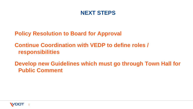

**Policy Resolution to Board for Approval**

**Continue Coordination with VEDP to define roles / responsibilities**

**Develop new Guidelines which must go through Town Hall for Public Comment**